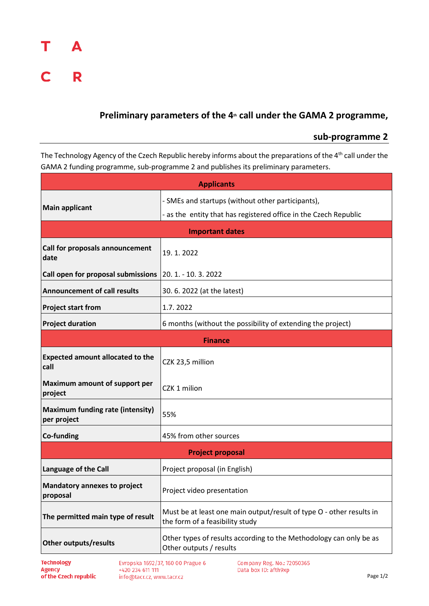## т A  $C$  R

## Preliminary parameters of the 4<sup>th</sup> call under the GAMA 2 programme,

## **sub-programme 2**

The Technology Agency of the Czech Republic hereby informs about the preparations of the 4<sup>th</sup> call under the GAMA 2 funding programme, sub-programme 2 and publishes its preliminary parameters.

| <b>Applicants</b>                                      |                                                                                                                       |  |
|--------------------------------------------------------|-----------------------------------------------------------------------------------------------------------------------|--|
| <b>Main applicant</b>                                  | - SMEs and startups (without other participants),<br>- as the entity that has registered office in the Czech Republic |  |
| <b>Important dates</b>                                 |                                                                                                                       |  |
| Call for proposals announcement<br>date                | 19.1.2022                                                                                                             |  |
| Call open for proposal submissions                     | 20. 1. - 10. 3. 2022                                                                                                  |  |
| <b>Announcement of call results</b>                    | 30.6.2022 (at the latest)                                                                                             |  |
| <b>Project start from</b>                              | 1.7.2022                                                                                                              |  |
| <b>Project duration</b>                                | 6 months (without the possibility of extending the project)                                                           |  |
| <b>Finance</b>                                         |                                                                                                                       |  |
| <b>Expected amount allocated to the</b><br>call        | CZK 23,5 million                                                                                                      |  |
| Maximum amount of support per<br>project               | CZK 1 milion                                                                                                          |  |
| <b>Maximum funding rate (intensity)</b><br>per project | 55%                                                                                                                   |  |
| Co-funding                                             | 45% from other sources                                                                                                |  |
| <b>Project proposal</b>                                |                                                                                                                       |  |
| Language of the Call                                   | Project proposal (in English)                                                                                         |  |
| <b>Mandatory annexes to project</b><br>proposal        | Project video presentation                                                                                            |  |
| The permitted main type of result                      | Must be at least one main output/result of type O - other results in<br>the form of a feasibility study               |  |
| <b>Other outputs/results</b>                           | Other types of results according to the Methodology can only be as<br>Other outputs / results                         |  |

Evropska 1692/37, 160 00 Prague 6 +420 234 611 111 info@tacr.cz, www.tacr.cz

Company Reg. No.: 72050365 Data box ID: afth9xp